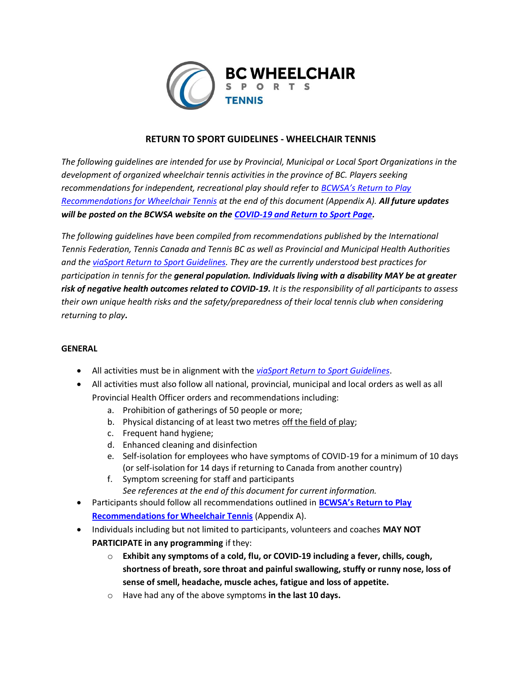

## **RETURN TO SPORT GUIDELINES - WHEELCHAIR TENNIS**

*The following guidelines are intended for use by Provincial, Municipal or Local Sport Organizations in the development of organized wheelchair tennis activities in the province of BC. Players seeking recommendations for independent, recreational play should refer to [BCWSA's Return to Play](https://www.bcwheelchairsports.com/sites/default/files/attachments/file/ajax/field_upload/und/form-m_ums8xQOXrOlaCdeAaz7uHj1itHUaw05f1oujIS-wE/Return%20to%20Play%20Recommendations%20-%20Wheelchair%20Tennis.pdf)  [Recommendations for Wheelchair Tennis](https://www.bcwheelchairsports.com/sites/default/files/attachments/file/ajax/field_upload/und/form-m_ums8xQOXrOlaCdeAaz7uHj1itHUaw05f1oujIS-wE/Return%20to%20Play%20Recommendations%20-%20Wheelchair%20Tennis.pdf) at the end of this document (Appendix A). All future updates will be posted on the BCWSA website on the [COVID-19 and Return to Sport Page.](https://www.bcwheelchairsports.com/resources/covid-19-and-return-sport)*

*The following guidelines have been compiled from recommendations published by the International Tennis Federation, Tennis Canada and Tennis BC as well as Provincial and Municipal Health Authorities and th[e viaSport Return to Sport Guidelines.](https://www.viasport.ca/return-sport?utm_source=viaSport+Newsletter&utm_campaign=bab7ad8fdd-EMAIL_CAMPAIGN_2020_04_14_05_04_COPY_01&utm_medium=email&utm_term=0_e001f69b1e-bab7ad8fdd-200044429) They are the currently understood best practices for participation in tennis for the general population. Individuals living with a disability MAY be at greater risk of negative health outcomes related to COVID-19. It is the responsibility of all participants to assess their own unique health risks and the safety/preparedness of their local tennis club when considering returning to play.*

#### **GENERAL**

- All activities must be in alignment with the *[viaSport Return to Sport Guidelines](https://www.viasport.ca/return-sport?utm_source=viaSport+Newsletter&utm_campaign=bab7ad8fdd-EMAIL_CAMPAIGN_2020_04_14_05_04_COPY_01&utm_medium=email&utm_term=0_e001f69b1e-bab7ad8fdd-200044429)*.
- All activities must also follow all national, provincial, municipal and local orders as well as all Provincial Health Officer orders and recommendations including:
	- a. Prohibition of gatherings of 50 people or more;
	- b. Physical distancing of at least two metres off the field of play;
	- c. Frequent hand hygiene;
	- d. Enhanced cleaning and disinfection
	- e. Self-isolation for employees who have symptoms of COVID-19 for a minimum of 10 days (or self-isolation for 14 days if returning to Canada from another country)
	- f. Symptom screening for staff and participants *See references at the end of this document for current information.*
- Participants should follow all recommendations outlined in **[BCWSA's Return to Play](https://www.bcwheelchairsports.com/sites/default/files/attachments/file/ajax/field_upload/und/form-m_ums8xQOXrOlaCdeAaz7uHj1itHUaw05f1oujIS-wE/Return%20to%20Play%20Recommendations%20-%20Wheelchair%20Tennis.pdf)  [Recommendations for Wheelchair Tennis](https://www.bcwheelchairsports.com/sites/default/files/attachments/file/ajax/field_upload/und/form-m_ums8xQOXrOlaCdeAaz7uHj1itHUaw05f1oujIS-wE/Return%20to%20Play%20Recommendations%20-%20Wheelchair%20Tennis.pdf)** (Appendix A).
- Individuals including but not limited to participants, volunteers and coaches **MAY NOT PARTICIPATE in any programming** if they:
	- o **Exhibit any symptoms of a cold, flu, or COVID-19 including a fever, chills, cough, shortness of breath, sore throat and painful swallowing, stuffy or runny nose, loss of sense of smell, headache, muscle aches, fatigue and loss of appetite.**
	- o Have had any of the above symptoms **in the last 10 days.**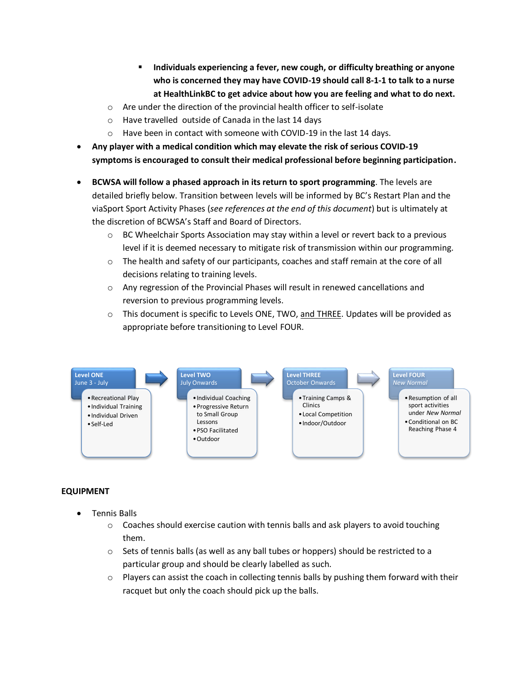- **Individuals experiencing a fever, new cough, or difficulty breathing or anyone who is concerned they may have COVID-19 should call 8-1-1 to talk to a nurse at HealthLinkBC to get advice about how you are feeling and what to do next.**
- o Are under the direction of the provincial health officer to self-isolate
- o Have travelled outside of Canada in the last 14 days
- o Have been in contact with someone with COVID-19 in the last 14 days.
- **Any player with a medical condition which may elevate the risk of serious COVID-19 symptoms is encouraged to consult their medical professional before beginning participation.**
- **BCWSA will follow a phased approach in its return to sport programming**. The levels are detailed briefly below. Transition between levels will be informed by BC's Restart Plan and the viaSport Sport Activity Phases (*see references at the end of this document*) but is ultimately at the discretion of BCWSA's Staff and Board of Directors.
	- $\circ$  BC Wheelchair Sports Association may stay within a level or revert back to a previous level if it is deemed necessary to mitigate risk of transmission within our programming.
	- $\circ$  The health and safety of our participants, coaches and staff remain at the core of all decisions relating to training levels.
	- $\circ$  Any regression of the Provincial Phases will result in renewed cancellations and reversion to previous programming levels.
	- $\circ$  This document is specific to Levels ONE, TWO, and THREE. Updates will be provided as appropriate before transitioning to Level FOUR.



#### **EQUIPMENT**

- Tennis Balls
	- $\circ$  Coaches should exercise caution with tennis balls and ask players to avoid touching them.
	- $\circ$  Sets of tennis balls (as well as any ball tubes or hoppers) should be restricted to a particular group and should be clearly labelled as such.
	- $\circ$  Players can assist the coach in collecting tennis balls by pushing them forward with their racquet but only the coach should pick up the balls.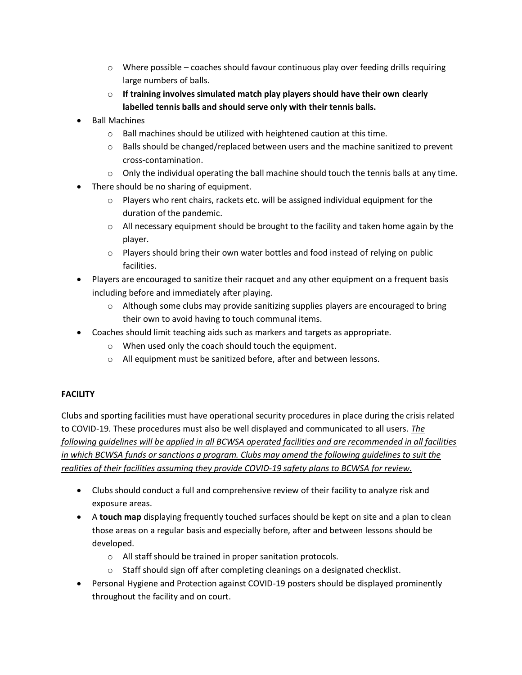- $\circ$  Where possible coaches should favour continuous play over feeding drills requiring large numbers of balls.
- o **If training involves simulated match play players should have their own clearly labelled tennis balls and should serve only with their tennis balls.**
- Ball Machines
	- o Ball machines should be utilized with heightened caution at this time.
	- $\circ$  Balls should be changed/replaced between users and the machine sanitized to prevent cross-contamination.
	- $\circ$  Only the individual operating the ball machine should touch the tennis balls at any time.
- There should be no sharing of equipment.
	- $\circ$  Players who rent chairs, rackets etc. will be assigned individual equipment for the duration of the pandemic.
	- $\circ$  All necessary equipment should be brought to the facility and taken home again by the player.
	- $\circ$  Players should bring their own water bottles and food instead of relying on public facilities.
- Players are encouraged to sanitize their racquet and any other equipment on a frequent basis including before and immediately after playing.
	- $\circ$  Although some clubs may provide sanitizing supplies players are encouraged to bring their own to avoid having to touch communal items.
- Coaches should limit teaching aids such as markers and targets as appropriate.
	- o When used only the coach should touch the equipment.
	- o All equipment must be sanitized before, after and between lessons.

## **FACILITY**

Clubs and sporting facilities must have operational security procedures in place during the crisis related to COVID-19. These procedures must also be well displayed and communicated to all users. *The following guidelines will be applied in all BCWSA operated facilities and are recommended in all facilities in which BCWSA funds or sanctions a program. Clubs may amend the following guidelines to suit the realities of their facilities assuming they provide COVID-19 safety plans to BCWSA for review.*

- Clubs should conduct a full and comprehensive review of their facility to analyze risk and exposure areas.
- A **touch map** displaying frequently touched surfaces should be kept on site and a plan to clean those areas on a regular basis and especially before, after and between lessons should be developed.
	- o All staff should be trained in proper sanitation protocols.
	- o Staff should sign off after completing cleanings on a designated checklist.
- Personal Hygiene and Protection against COVID-19 posters should be displayed prominently throughout the facility and on court.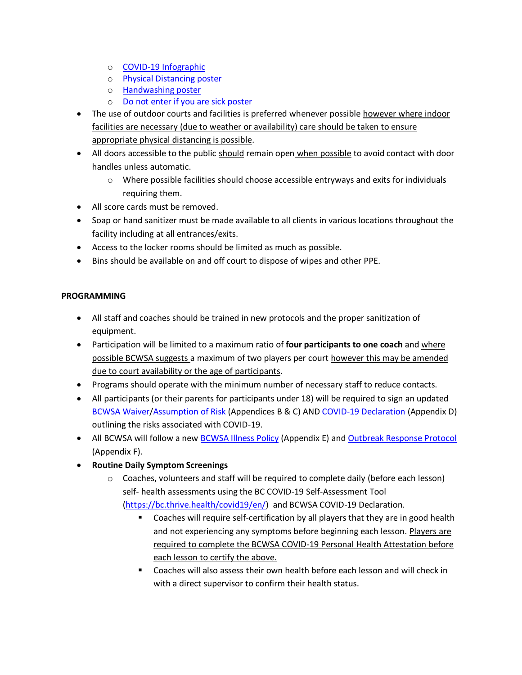- o [COVID-19 Infographic](https://news.interiorhealth.ca/wp-content/uploads/2020/03/IH-PH-COV-252-About-COVID-19_-Infographic_26Mar2020.pdf)
- o [Physical Distancing poster](http://www.bccdc.ca/Health-Professionals-Site/Documents/COVID19_PhysicalDistancingPoster.pdf)
- o **Handwashing poster**
- o [Do not enter if you are sick poster](http://www.bccdc.ca/Health-Info-Site/Documents/COVID19_DoNotEnterPoster.pdf)
- The use of outdoor courts and facilities is preferred whenever possible however where indoor facilities are necessary (due to weather or availability) care should be taken to ensure appropriate physical distancing is possible.
- All doors accessible to the public should remain open when possible to avoid contact with door handles unless automatic.
	- $\circ$  Where possible facilities should choose accessible entryways and exits for individuals requiring them.
- All score cards must be removed.
- Soap or hand sanitizer must be made available to all clients in various locations throughout the facility including at all entrances/exits.
- Access to the locker rooms should be limited as much as possible.
- Bins should be available on and off court to dispose of wipes and other PPE.

## **PROGRAMMING**

- All staff and coaches should be trained in new protocols and the proper sanitization of equipment.
- **•** Participation will be limited to a maximum ratio of **four participants to one coach** and where possible BCWSA suggests a maximum of two players per court however this may be amended due to court availability or the age of participants.
- Programs should operate with the minimum number of necessary staff to reduce contacts.
- All participants (or their parents for participants under 18) will be required to sign an updated [BCWSA Waiver](https://www.bcwheelchairsports.com/sites/default/files/attachments/file/ajax/field_upload/und/form-m_ums8xQOXrOlaCdeAaz7uHj1itHUaw05f1oujIS-wE/BCWSA%20-%20Waiver%20for%20Individuals%20Over%20the%20Age%20of%20Majority%20-%20Final.pdf)[/Assumption](https://www.bcwheelchairsports.com/sites/default/files/attachments/node/add/article/BCWSA%20-%20Assumption%20of%20Risk%20-%20Individuals%20Under%20the%20Age%20of%20Majority%20-%20Fin.._.pdf) of Risk (Appendices B & C) AND [COVID-19 Declaration](https://www.bcwheelchairsports.com/sites/default/files/attachments/file/ajax/field_upload/und/form-m_ums8xQOXrOlaCdeAaz7uHj1itHUaw05f1oujIS-wE/BCWSA%20-%20COVID-19%20Declaration%20-%20Final.pdf) (Appendix D) outlining the risks associated with COVID-19.
- All BCWSA will follow a new [BCWSA Illness Policy](https://www.bcwheelchairsports.com/sites/default/files/images/BCWSA%20Covid%2019%20Illness%20Policy%20-%20Approved.pdf) (Appendix E) and [Outbreak Response Protocol](https://www.bcwheelchairsports.com/sites/default/files/images/BCWSA%20Outbreak%20Response%20Protocol%20-%20Approved.pdf) (Appendix F).
- **Routine Daily Symptom Screenings**
	- o Coaches, volunteers and staff will be required to complete daily (before each lesson) self- health assessments using the BC COVID-19 Self-Assessment Tool [\(https://bc.thrive.health/covid19/en/\)](https://bc.thrive.health/covid19/en/) and BCWSA COVID-19 Declaration.
		- **EXTE:** Coaches will require self-certification by all players that they are in good health and not experiencing any symptoms before beginning each lesson. Players are required to complete the BCWSA COVID-19 Personal Health Attestation before each lesson to certify the above.
		- **EXECOACHER 19 THE STARK IS COACHER 15 THE STARK IS COACHER 15 THE COACHER 15 THE COACHER 15 THE COACHER 15 THE** with a direct supervisor to confirm their health status.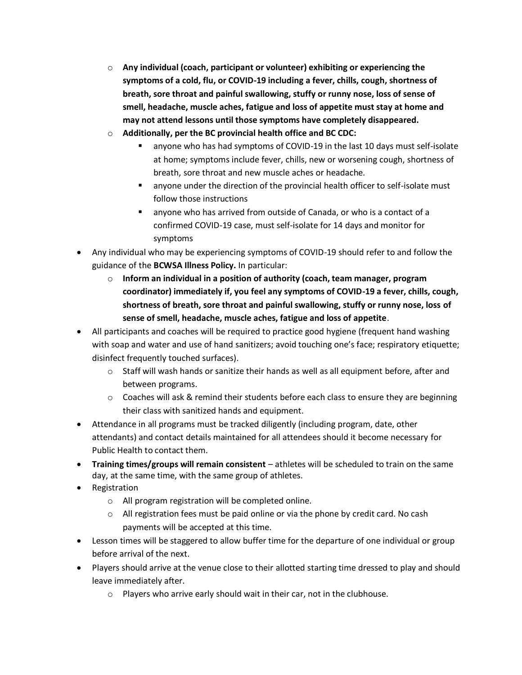- o **Any individual (coach, participant or volunteer) exhibiting or experiencing the symptoms of a cold, flu, or COVID-19 including a fever, chills, cough, shortness of breath, sore throat and painful swallowing, stuffy or runny nose, loss of sense of smell, headache, muscle aches, fatigue and loss of appetite must stay at home and may not attend lessons until those symptoms have completely disappeared.**
- o **Additionally, per the BC provincial health office and BC CDC:**
	- anyone who has had symptoms of COVID-19 in the last 10 days must self-isolate at home; symptoms include fever, chills, new or worsening cough, shortness of breath, sore throat and new muscle aches or headache.
	- anyone under the direction of the provincial health officer to self-isolate must follow those instructions
	- anyone who has arrived from outside of Canada, or who is a contact of a confirmed COVID-19 case, must self-isolate for 14 days and monitor for symptoms
- Any individual who may be experiencing symptoms of COVID-19 should refer to and follow the guidance of the **BCWSA Illness Policy.** In particular:
	- o **Inform an individual in a position of authority (coach, team manager, program coordinator) immediately if, you feel any symptoms of COVID-19 a fever, chills, cough, shortness of breath, sore throat and painful swallowing, stuffy or runny nose, loss of sense of smell, headache, muscle aches, fatigue and loss of appetite**.
- All participants and coaches will be required to practice good hygiene (frequent hand washing with soap and water and use of hand sanitizers; avoid touching one's face; respiratory etiquette; disinfect frequently touched surfaces).
	- $\circ$  Staff will wash hands or sanitize their hands as well as all equipment before, after and between programs.
	- $\circ$  Coaches will ask & remind their students before each class to ensure they are beginning their class with sanitized hands and equipment.
- Attendance in all programs must be tracked diligently (including program, date, other attendants) and contact details maintained for all attendees should it become necessary for Public Health to contact them.
- **Training times/groups will remain consistent** athletes will be scheduled to train on the same day, at the same time, with the same group of athletes.
- Registration
	- o All program registration will be completed online.
	- $\circ$  All registration fees must be paid online or via the phone by credit card. No cash payments will be accepted at this time.
- Lesson times will be staggered to allow buffer time for the departure of one individual or group before arrival of the next.
- Players should arrive at the venue close to their allotted starting time dressed to play and should leave immediately after.
	- o Players who arrive early should wait in their car, not in the clubhouse.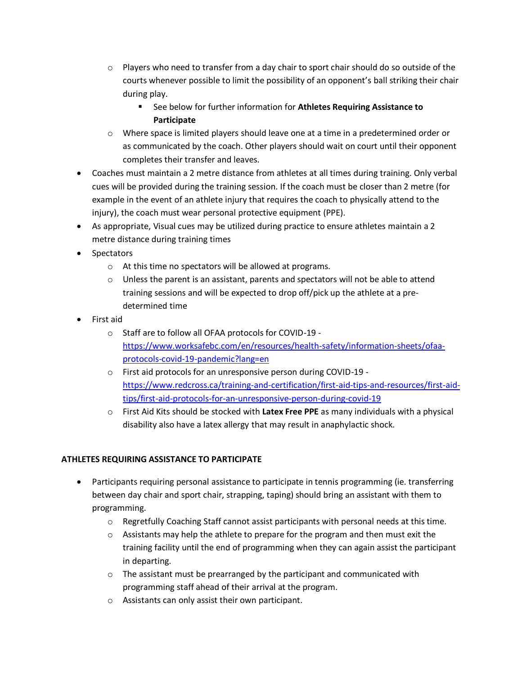- $\circ$  Players who need to transfer from a day chair to sport chair should do so outside of the courts whenever possible to limit the possibility of an opponent's ball striking their chair during play.
	- See below for further information for **Athletes Requiring Assistance to Participate**
- $\circ$  Where space is limited players should leave one at a time in a predetermined order or as communicated by the coach. Other players should wait on court until their opponent completes their transfer and leaves.
- Coaches must maintain a 2 metre distance from athletes at all times during training. Only verbal cues will be provided during the training session. If the coach must be closer than 2 metre (for example in the event of an athlete injury that requires the coach to physically attend to the injury), the coach must wear personal protective equipment (PPE).
- As appropriate, Visual cues may be utilized during practice to ensure athletes maintain a 2 metre distance during training times
- Spectators
	- o At this time no spectators will be allowed at programs.
	- $\circ$  Unless the parent is an assistant, parents and spectators will not be able to attend training sessions and will be expected to drop off/pick up the athlete at a predetermined time
- First aid
	- o Staff are to follow all OFAA protocols for COVID-19 [https://www.worksafebc.com/en/resources/health-safety/information-sheets/ofaa](https://www.worksafebc.com/en/resources/health-safety/information-sheets/ofaa-protocols-covid-19-pandemic?lang=en)[protocols-covid-19-pandemic?lang=en](https://www.worksafebc.com/en/resources/health-safety/information-sheets/ofaa-protocols-covid-19-pandemic?lang=en)
	- o First aid protocols for an unresponsive person during COVID-19 [https://www.redcross.ca/training-and-certification/first-aid-tips-and-resources/first-aid](https://www.redcross.ca/training-and-certification/first-aid-tips-and-resources/first-aid-tips/first-aid-protocols-for-an-unresponsive-person-during-covid-19)[tips/first-aid-protocols-for-an-unresponsive-person-during-covid-19](https://www.redcross.ca/training-and-certification/first-aid-tips-and-resources/first-aid-tips/first-aid-protocols-for-an-unresponsive-person-during-covid-19)
	- o First Aid Kits should be stocked with **Latex Free PPE** as many individuals with a physical disability also have a latex allergy that may result in anaphylactic shock.

## **ATHLETES REQUIRING ASSISTANCE TO PARTICIPATE**

- Participants requiring personal assistance to participate in tennis programming (ie. transferring between day chair and sport chair, strapping, taping) should bring an assistant with them to programming.
	- $\circ$  Regretfully Coaching Staff cannot assist participants with personal needs at this time.
	- $\circ$  Assistants may help the athlete to prepare for the program and then must exit the training facility until the end of programming when they can again assist the participant in departing.
	- o The assistant must be prearranged by the participant and communicated with programming staff ahead of their arrival at the program.
	- o Assistants can only assist their own participant.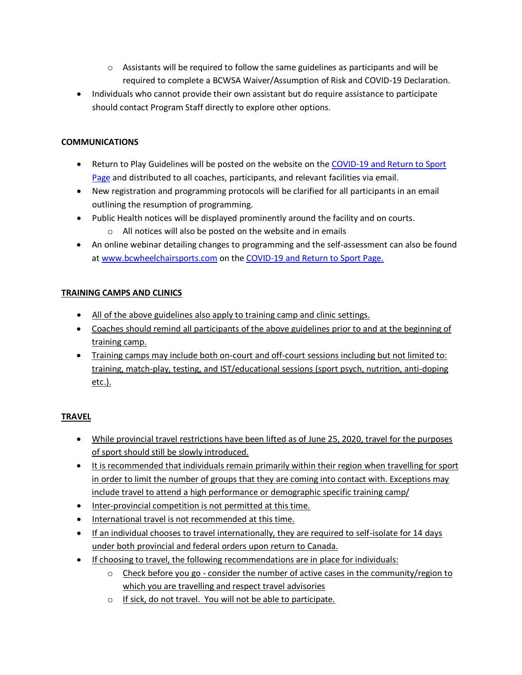- $\circ$  Assistants will be required to follow the same guidelines as participants and will be required to complete a BCWSA Waiver/Assumption of Risk and COVID-19 Declaration.
- Individuals who cannot provide their own assistant but do require assistance to participate should contact Program Staff directly to explore other options.

## **COMMUNICATIONS**

- Return to Play Guidelines will be posted on the website on the COVID-19 and Return to Sport [Page](https://www.bcwheelchairsports.com/resources/covid-19-and-return-sport) and distributed to all coaches, participants, and relevant facilities via email.
- New registration and programming protocols will be clarified for all participants in an email outlining the resumption of programming.
- Public Health notices will be displayed prominently around the facility and on courts.
	- o All notices will also be posted on the website and in emails
- An online webinar detailing changes to programming and the self-assessment can also be found at [www.bcwheelchairsports.com](http://www.bcwheelchairsports.com/) on the [COVID-19 and Return to Sport Page.](https://www.bcwheelchairsports.com/resources/covid-19-and-return-sport)

## **TRAINING CAMPS AND CLINICS**

- All of the above guidelines also apply to training camp and clinic settings.
- Coaches should remind all participants of the above guidelines prior to and at the beginning of training camp.
- Training camps may include both on-court and off-court sessions including but not limited to: training, match-play, testing, and IST/educational sessions (sport psych, nutrition, anti-doping etc.).

## **TRAVEL**

- While provincial travel restrictions have been lifted as of June 25, 2020, travel for the purposes of sport should still be slowly introduced.
- It is recommended that individuals remain primarily within their region when travelling for sport in order to limit the number of groups that they are coming into contact with. Exceptions may include travel to attend a high performance or demographic specific training camp/
- Inter-provincial competition is not permitted at this time.
- International travel is not recommended at this time.
- **If an individual chooses to travel internationally, they are required to self-isolate for 14 days** under both provincial and federal orders upon return to Canada.
- If choosing to travel, the following recommendations are in place for individuals:
	- $\circ$  Check before you go consider the number of active cases in the community/region to which you are travelling and respect travel advisories
	- o If sick, do not travel. You will not be able to participate.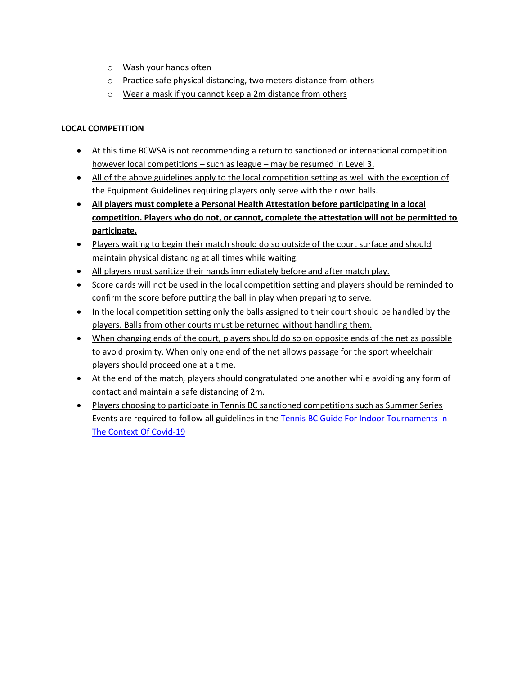- o Wash your hands often
- o Practice safe physical distancing, two meters distance from others
- o Wear a mask if you cannot keep a 2m distance from others

## **LOCAL COMPETITION**

- At this time BCWSA is not recommending a return to sanctioned or international competition however local competitions – such as league – may be resumed in Level 3.
- All of the above guidelines apply to the local competition setting as well with the exception of the Equipment Guidelines requiring players only serve with their own balls.
- **All players must complete a Personal Health Attestation before participating in a local competition. Players who do not, or cannot, complete the attestation will not be permitted to participate.**
- Players waiting to begin their match should do so outside of the court surface and should maintain physical distancing at all times while waiting.
- All players must sanitize their hands immediately before and after match play.
- Score cards will not be used in the local competition setting and players should be reminded to confirm the score before putting the ball in play when preparing to serve.
- In the local competition setting only the balls assigned to their court should be handled by the players. Balls from other courts must be returned without handling them.
- When changing ends of the court, players should do so on opposite ends of the net as possible to avoid proximity. When only one end of the net allows passage for the sport wheelchair players should proceed one at a time.
- At the end of the match, players should congratulated one another while avoiding any form of contact and maintain a safe distancing of 2m.
- Players choosing to participate in Tennis BC sanctioned competitions such as Summer Series Events are required to follow all guidelines in the [Tennis BC Guide For Indoor Tournaments In](http://www.tennisbc.org/wp-content/uploads/2020/09/TENNIS_BC_Preventative_and_Protective_Measures_for_Clubs__Return_to_Competition_Phase_3.pdf)  [The Context Of Covid-19](http://www.tennisbc.org/wp-content/uploads/2020/09/TENNIS_BC_Preventative_and_Protective_Measures_for_Clubs__Return_to_Competition_Phase_3.pdf)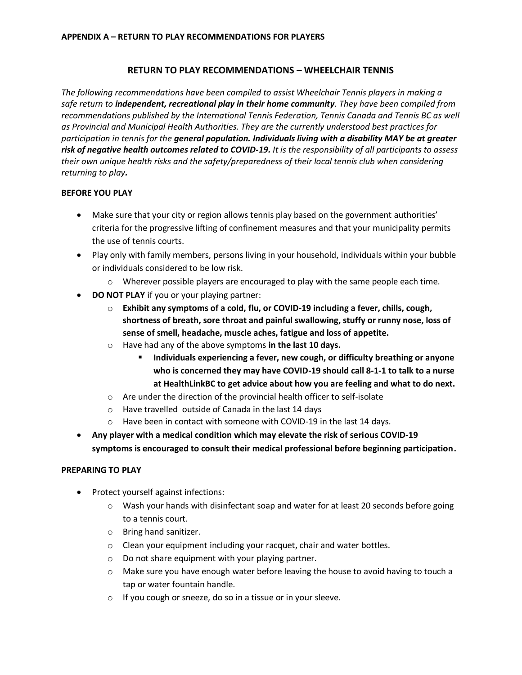## **RETURN TO PLAY RECOMMENDATIONS – WHEELCHAIR TENNIS**

*The following recommendations have been compiled to assist Wheelchair Tennis players in making a safe return to independent, recreational play in their home community. They have been compiled from recommendations published by the International Tennis Federation, Tennis Canada and Tennis BC as well as Provincial and Municipal Health Authorities. They are the currently understood best practices for participation in tennis for the general population. Individuals living with a disability MAY be at greater risk of negative health outcomes related to COVID-19. It is the responsibility of all participants to assess their own unique health risks and the safety/preparedness of their local tennis club when considering returning to play.*

## **BEFORE YOU PLAY**

- Make sure that your city or region allows tennis play based on the government authorities' criteria for the progressive lifting of confinement measures and that your municipality permits the use of tennis courts.
- Play only with family members, persons living in your household, individuals within your bubble or individuals considered to be low risk.
	- $\circ$  Wherever possible players are encouraged to play with the same people each time.
- **DO NOT PLAY** if you or your playing partner:
	- o **Exhibit any symptoms of a cold, flu, or COVID-19 including a fever, chills, cough, shortness of breath, sore throat and painful swallowing, stuffy or runny nose, loss of sense of smell, headache, muscle aches, fatigue and loss of appetite.**
	- o Have had any of the above symptoms **in the last 10 days.**
		- **Individuals experiencing a fever, new cough, or difficulty breathing or anyone who is concerned they may have COVID-19 should call 8-1-1 to talk to a nurse at HealthLinkBC to get advice about how you are feeling and what to do next.**
	- o Are under the direction of the provincial health officer to self-isolate
	- o Have travelled outside of Canada in the last 14 days
	- o Have been in contact with someone with COVID-19 in the last 14 days.
- **Any player with a medical condition which may elevate the risk of serious COVID-19 symptoms is encouraged to consult their medical professional before beginning participation.**

#### **PREPARING TO PLAY**

- Protect yourself against infections:
	- o Wash your hands with disinfectant soap and water for at least 20 seconds before going to a tennis court.
	- o Bring hand sanitizer.
	- o Clean your equipment including your racquet, chair and water bottles.
	- o Do not share equipment with your playing partner.
	- o Make sure you have enough water before leaving the house to avoid having to touch a tap or water fountain handle.
	- o If you cough or sneeze, do so in a tissue or in your sleeve.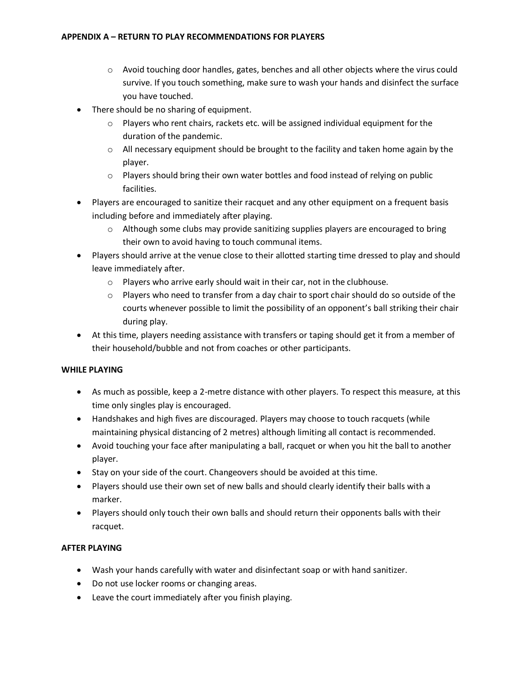- o Avoid touching door handles, gates, benches and all other objects where the virus could survive. If you touch something, make sure to wash your hands and disinfect the surface you have touched.
- There should be no sharing of equipment.
	- $\circ$  Players who rent chairs, rackets etc. will be assigned individual equipment for the duration of the pandemic.
	- $\circ$  All necessary equipment should be brought to the facility and taken home again by the player.
	- $\circ$  Players should bring their own water bottles and food instead of relying on public facilities.
- Players are encouraged to sanitize their racquet and any other equipment on a frequent basis including before and immediately after playing.
	- o Although some clubs may provide sanitizing supplies players are encouraged to bring their own to avoid having to touch communal items.
- Players should arrive at the venue close to their allotted starting time dressed to play and should leave immediately after.
	- o Players who arrive early should wait in their car, not in the clubhouse.
	- $\circ$  Players who need to transfer from a day chair to sport chair should do so outside of the courts whenever possible to limit the possibility of an opponent's ball striking their chair during play.
- At this time, players needing assistance with transfers or taping should get it from a member of their household/bubble and not from coaches or other participants.

## **WHILE PLAYING**

- As much as possible, keep a 2-metre distance with other players. To respect this measure, at this time only singles play is encouraged.
- Handshakes and high fives are discouraged. Players may choose to touch racquets (while maintaining physical distancing of 2 metres) although limiting all contact is recommended.
- Avoid touching your face after manipulating a ball, racquet or when you hit the ball to another player.
- Stay on your side of the court. Changeovers should be avoided at this time.
- Players should use their own set of new balls and should clearly identify their balls with a marker.
- Players should only touch their own balls and should return their opponents balls with their racquet.

## **AFTER PLAYING**

- Wash your hands carefully with water and disinfectant soap or with hand sanitizer.
- Do not use locker rooms or changing areas.
- Leave the court immediately after you finish playing.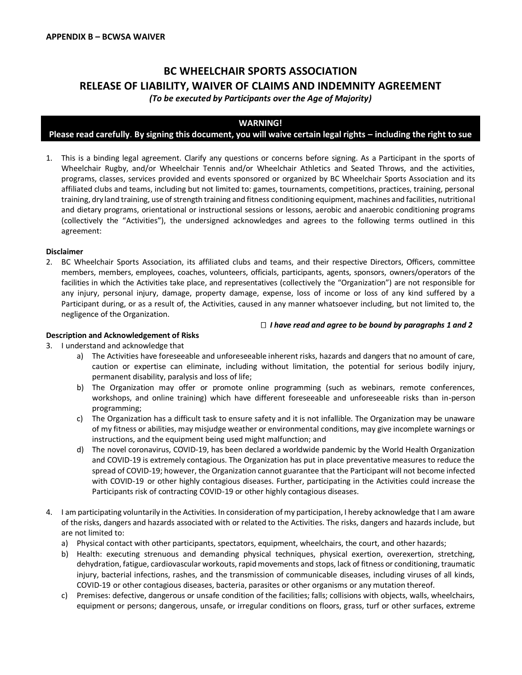## **BC WHEELCHAIR SPORTS ASSOCIATION RELEASE OF LIABILITY, WAIVER OF CLAIMS AND INDEMNITY AGREEMENT**

*(To be executed by Participants over the Age of Majority)*

#### **WARNING!**

#### **Please read carefully**. **By signing this document, you will waive certain legal rights – including the right to sue**

1. This is a binding legal agreement. Clarify any questions or concerns before signing. As a Participant in the sports of Wheelchair Rugby, and/or Wheelchair Tennis and/or Wheelchair Athletics and Seated Throws, and the activities, programs, classes, services provided and events sponsored or organized by BC Wheelchair Sports Association and its affiliated clubs and teams, including but not limited to: games, tournaments, competitions, practices, training, personal training, dry land training, use of strength training and fitness conditioning equipment, machines and facilities, nutritional and dietary programs, orientational or instructional sessions or lessons, aerobic and anaerobic conditioning programs (collectively the "Activities"), the undersigned acknowledges and agrees to the following terms outlined in this agreement:

#### **Disclaimer**

2. BC Wheelchair Sports Association, its affiliated clubs and teams, and their respective Directors, Officers, committee members, members, employees, coaches, volunteers, officials, participants, agents, sponsors, owners/operators of the facilities in which the Activities take place, and representatives (collectively the "Organization") are not responsible for any injury, personal injury, damage, property damage, expense, loss of income or loss of any kind suffered by a Participant during, or as a result of, the Activities, caused in any manner whatsoever including, but not limited to, the negligence of the Organization.

#### *I have read and agree to be bound by paragraphs 1 and 2*

#### **Description and Acknowledgement of Risks**

- 3. I understand and acknowledge that
	- a) The Activities have foreseeable and unforeseeable inherent risks, hazards and dangers that no amount of care, caution or expertise can eliminate, including without limitation, the potential for serious bodily injury, permanent disability, paralysis and loss of life;
	- b) The Organization may offer or promote online programming (such as webinars, remote conferences, workshops, and online training) which have different foreseeable and unforeseeable risks than in-person programming;
	- c) The Organization has a difficult task to ensure safety and it is not infallible. The Organization may be unaware of my fitness or abilities, may misjudge weather or environmental conditions, may give incomplete warnings or instructions, and the equipment being used might malfunction; and
	- d) The novel coronavirus, COVID-19, has been declared a worldwide pandemic by the World Health Organization and COVID-19 is extremely contagious. The Organization has put in place preventative measures to reduce the spread of COVID-19; however, the Organization cannot guarantee that the Participant will not become infected with COVID-19 or other highly contagious diseases. Further, participating in the Activities could increase the Participants risk of contracting COVID-19 or other highly contagious diseases.
- 4. I am participating voluntarily in the Activities. In consideration of my participation, I hereby acknowledge that I am aware of the risks, dangers and hazards associated with or related to the Activities. The risks, dangers and hazards include, but are not limited to:
	- a) Physical contact with other participants, spectators, equipment, wheelchairs, the court, and other hazards;
	- b) Health: executing strenuous and demanding physical techniques, physical exertion, overexertion, stretching, dehydration, fatigue, cardiovascular workouts, rapid movements and stops, lack of fitness or conditioning, traumatic injury, bacterial infections, rashes, and the transmission of communicable diseases, including viruses of all kinds, COVID-19 or other contagious diseases, bacteria, parasites or other organisms or any mutation thereof.
	- c) Premises: defective, dangerous or unsafe condition of the facilities; falls; collisions with objects, walls, wheelchairs, equipment or persons; dangerous, unsafe, or irregular conditions on floors, grass, turf or other surfaces, extreme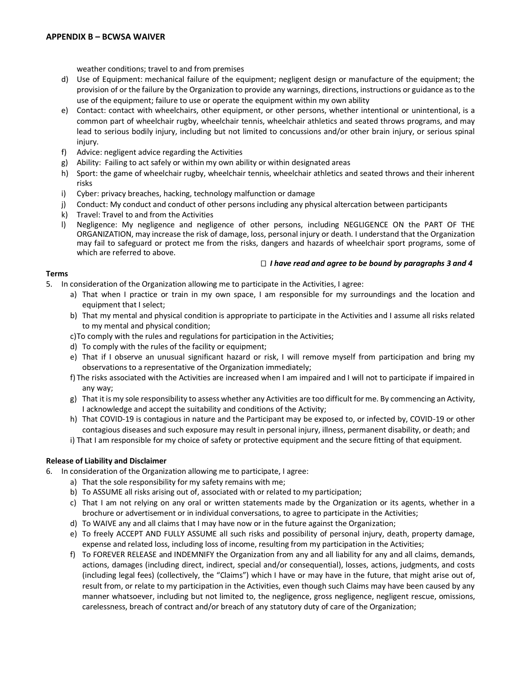weather conditions; travel to and from premises

- d) Use of Equipment: mechanical failure of the equipment; negligent design or manufacture of the equipment; the provision of or the failure by the Organization to provide any warnings, directions, instructions or guidance as to the use of the equipment; failure to use or operate the equipment within my own ability
- e) Contact: contact with wheelchairs, other equipment, or other persons, whether intentional or unintentional, is a common part of wheelchair rugby, wheelchair tennis, wheelchair athletics and seated throws programs, and may lead to serious bodily injury, including but not limited to concussions and/or other brain injury, or serious spinal injury.
- f) Advice: negligent advice regarding the Activities
- g) Ability: Failing to act safely or within my own ability or within designated areas
- h) Sport: the game of wheelchair rugby, wheelchair tennis, wheelchair athletics and seated throws and their inherent risks
- i) Cyber: privacy breaches, hacking, technology malfunction or damage
- j) Conduct: My conduct and conduct of other persons including any physical altercation between participants
- k) Travel: Travel to and from the Activities
- l) Negligence: My negligence and negligence of other persons, including NEGLIGENCE ON the PART OF THE ORGANIZATION, may increase the risk of damage, loss, personal injury or death. I understand that the Organization may fail to safeguard or protect me from the risks, dangers and hazards of wheelchair sport programs, some of which are referred to above.

#### *I have read and agree to be bound by paragraphs 3 and 4*

#### **Terms**

- 5. In consideration of the Organization allowing me to participate in the Activities, I agree:
	- a) That when I practice or train in my own space, I am responsible for my surroundings and the location and equipment that I select;
	- b) That my mental and physical condition is appropriate to participate in the Activities and I assume all risks related to my mental and physical condition;
	- c)To comply with the rules and regulations for participation in the Activities;
	- d) To comply with the rules of the facility or equipment;
	- e) That if I observe an unusual significant hazard or risk, I will remove myself from participation and bring my observations to a representative of the Organization immediately;
	- f) The risks associated with the Activities are increased when I am impaired and I will not to participate if impaired in any way;
	- g) That it is my sole responsibility to assess whether any Activities are too difficult for me. By commencing an Activity, I acknowledge and accept the suitability and conditions of the Activity;
	- h) That COVID-19 is contagious in nature and the Participant may be exposed to, or infected by, COVID-19 or other contagious diseases and such exposure may result in personal injury, illness, permanent disability, or death; and
	- i) That I am responsible for my choice of safety or protective equipment and the secure fitting of that equipment.

#### **Release of Liability and Disclaimer**

- 6. In consideration of the Organization allowing me to participate, I agree:
	- a) That the sole responsibility for my safety remains with me;
	- b) To ASSUME all risks arising out of, associated with or related to my participation;
	- c) That I am not relying on any oral or written statements made by the Organization or its agents, whether in a brochure or advertisement or in individual conversations, to agree to participate in the Activities;
	- d) To WAIVE any and all claims that I may have now or in the future against the Organization;
	- e) To freely ACCEPT AND FULLY ASSUME all such risks and possibility of personal injury, death, property damage, expense and related loss, including loss of income, resulting from my participation in the Activities;
	- f) To FOREVER RELEASE and INDEMNIFY the Organization from any and all liability for any and all claims, demands, actions, damages (including direct, indirect, special and/or consequential), losses, actions, judgments, and costs (including legal fees) (collectively, the "Claims") which I have or may have in the future, that might arise out of, result from, or relate to my participation in the Activities, even though such Claims may have been caused by any manner whatsoever, including but not limited to, the negligence, gross negligence, negligent rescue, omissions, carelessness, breach of contract and/or breach of any statutory duty of care of the Organization;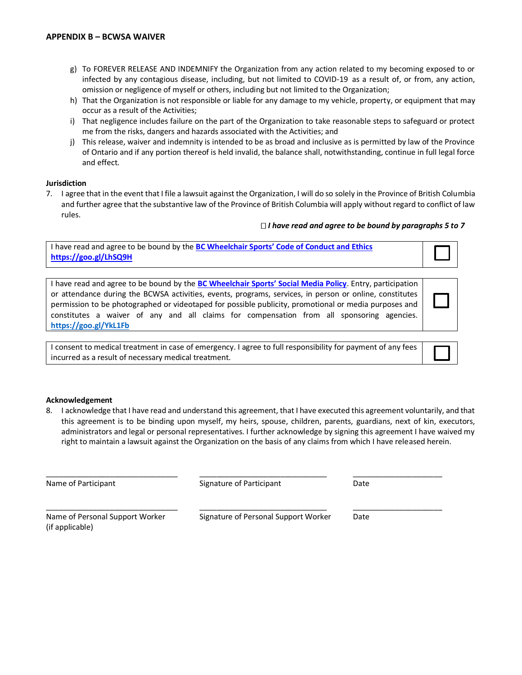- g) To FOREVER RELEASE AND INDEMNIFY the Organization from any action related to my becoming exposed to or infected by any contagious disease, including, but not limited to COVID-19 as a result of, or from, any action, omission or negligence of myself or others, including but not limited to the Organization;
- h) That the Organization is not responsible or liable for any damage to my vehicle, property, or equipment that may occur as a result of the Activities;
- i) That negligence includes failure on the part of the Organization to take reasonable steps to safeguard or protect me from the risks, dangers and hazards associated with the Activities; and
- j) This release, waiver and indemnity is intended to be as broad and inclusive as is permitted by law of the Province of Ontario and if any portion thereof is held invalid, the balance shall, notwithstanding, continue in full legal force and effect.

#### **Jurisdiction**

7. I agree that in the event that I file a lawsuit against the Organization, I will do so solely in the Province of British Columbia and further agree that the substantive law of the Province of British Columbia will apply without regard to conflict of law rules.

#### *I have read and agree to be bound by paragraphs 5 to 7*

| I have read and agree to be bound by the BC Wheelchair Sports' Code of Conduct and Ethics |  |
|-------------------------------------------------------------------------------------------|--|
| https://goo.gl/LhSQ9H                                                                     |  |

| I have read and agree to be bound by the BC Wheelchair Sports' Social Media Policy. Entry, participation |  |  |  |  |  |  |
|----------------------------------------------------------------------------------------------------------|--|--|--|--|--|--|
| or attendance during the BCWSA activities, events, programs, services, in person or online, constitutes  |  |  |  |  |  |  |
| permission to be photographed or videotaped for possible publicity, promotional or media purposes and    |  |  |  |  |  |  |
| constitutes a waiver of any and all claims for compensation from all sponsoring agencies.                |  |  |  |  |  |  |
| https://goo.gl/YkL1Fb                                                                                    |  |  |  |  |  |  |

I consent to medical treatment in case of emergency. I agree to full responsibility for payment of any fees incurred as a result of necessary medical treatment.

#### **Acknowledgement**

8. I acknowledge that I have read and understand this agreement, that I have executed this agreement voluntarily, and that this agreement is to be binding upon myself, my heirs, spouse, children, parents, guardians, next of kin, executors, administrators and legal or personal representatives. I further acknowledge by signing this agreement I have waived my right to maintain a lawsuit against the Organization on the basis of any claims from which I have released herein.

| Name of Participant                                | Signature of Participant             | Date |  |  |
|----------------------------------------------------|--------------------------------------|------|--|--|
| Name of Personal Support Worker<br>(if applicable) | Signature of Personal Support Worker | Date |  |  |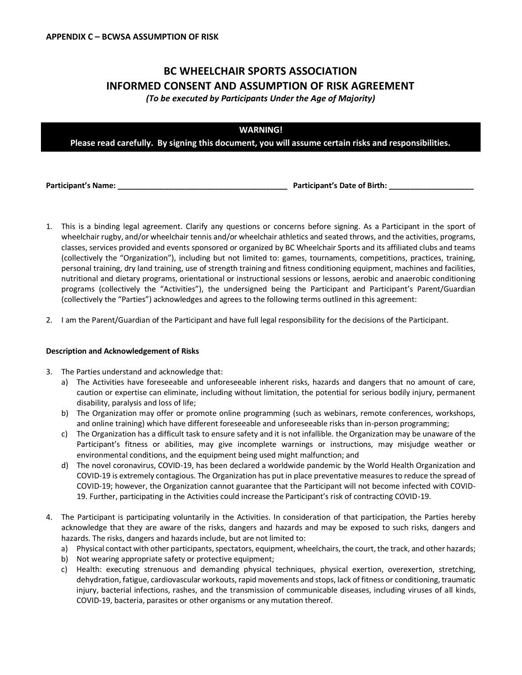# **BC WHEELCHAIR SPORTS ASSOCIATION INFORMED CONSENT AND ASSUMPTION OF RISK AGREEMENT**

*(To be executed by Participants Under the Age of Majority)*

|  | <b>WARNING!</b> |                                                                                                      |
|--|-----------------|------------------------------------------------------------------------------------------------------|
|  |                 | Please read carefully. By signing this document, you will assume certain risks and responsibilities. |
|  |                 |                                                                                                      |

**Participant's Name: \_\_\_\_\_\_\_\_\_\_\_\_\_\_\_\_\_\_\_\_\_\_\_\_\_\_\_\_\_\_\_\_\_\_\_\_\_\_\_\_ Participant's Date of Birth: \_\_\_\_\_\_\_\_\_\_\_\_\_\_\_\_\_\_\_\_**

- 1. This is a binding legal agreement. Clarify any questions or concerns before signing. As a Participant in the sport of wheelchair rugby, and/or wheelchair tennis and/or wheelchair athletics and seated throws, and the activities, programs, classes, services provided and events sponsored or organized by BC Wheelchair Sports and its affiliated clubs and teams (collectively the "Organization"), including but not limited to: games, tournaments, competitions, practices, training, personal training, dry land training, use of strength training and fitness conditioning equipment, machines and facilities, nutritional and dietary programs, orientational or instructional sessions or lessons, aerobic and anaerobic conditioning programs (collectively the "Activities"), the undersigned being the Participant and Participant's Parent/Guardian (collectively the "Parties") acknowledges and agrees to the following terms outlined in this agreement:
- 2. I am the Parent/Guardian of the Participant and have full legal responsibility for the decisions of the Participant.

#### **Description and Acknowledgement of Risks**

- 3. The Parties understand and acknowledge that:
	- a) The Activities have foreseeable and unforeseeable inherent risks, hazards and dangers that no amount of care, caution or expertise can eliminate, including without limitation, the potential for serious bodily injury, permanent disability, paralysis and loss of life;
	- b) The Organization may offer or promote online programming (such as webinars, remote conferences, workshops, and online training) which have different foreseeable and unforeseeable risks than in-person programming;
	- c) The Organization has a difficult task to ensure safety and it is not infallible. the Organization may be unaware of the Participant's fitness or abilities, may give incomplete warnings or instructions, may misjudge weather or environmental conditions, and the equipment being used might malfunction; and
	- d) The novel coronavirus, COVID-19, has been declared a worldwide pandemic by the World Health Organization and COVID-19 is extremely contagious. The Organization has put in place preventative measures to reduce the spread of COVID-19; however, the Organization cannot guarantee that the Participant will not become infected with COVID-19. Further, participating in the Activities could increase the Participant's risk of contracting COVID-19.
- 4. The Participant is participating voluntarily in the Activities. In consideration of that participation, the Parties hereby acknowledge that they are aware of the risks, dangers and hazards and may be exposed to such risks, dangers and hazards. The risks, dangers and hazards include, but are not limited to:
	- a) Physical contact with other participants, spectators, equipment, wheelchairs, the court, the track, and other hazards;
	- b) Not wearing appropriate safety or protective equipment;
	- c) Health: executing strenuous and demanding physical techniques, physical exertion, overexertion, stretching, dehydration, fatigue, cardiovascular workouts, rapid movements and stops, lack of fitness or conditioning, traumatic injury, bacterial infections, rashes, and the transmission of communicable diseases, including viruses of all kinds, COVID-19, bacteria, parasites or other organisms or any mutation thereof.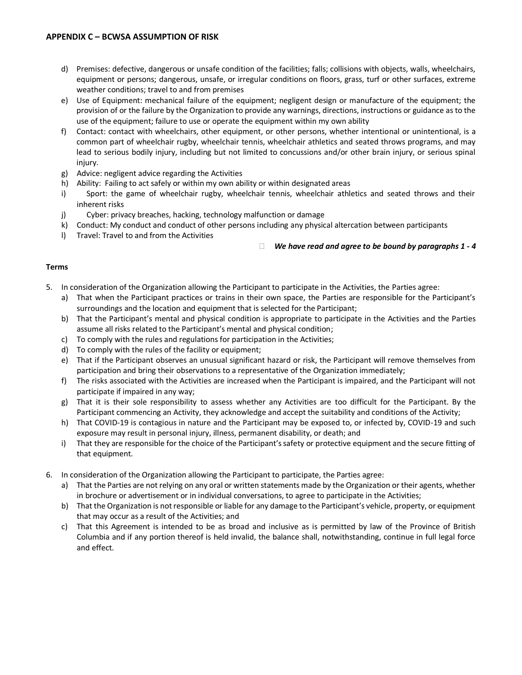- d) Premises: defective, dangerous or unsafe condition of the facilities; falls; collisions with objects, walls, wheelchairs, equipment or persons; dangerous, unsafe, or irregular conditions on floors, grass, turf or other surfaces, extreme weather conditions; travel to and from premises
- e) Use of Equipment: mechanical failure of the equipment; negligent design or manufacture of the equipment; the provision of or the failure by the Organization to provide any warnings, directions, instructions or guidance as to the use of the equipment; failure to use or operate the equipment within my own ability
- f) Contact: contact with wheelchairs, other equipment, or other persons, whether intentional or unintentional, is a common part of wheelchair rugby, wheelchair tennis, wheelchair athletics and seated throws programs, and may lead to serious bodily injury, including but not limited to concussions and/or other brain injury, or serious spinal injury.
- g) Advice: negligent advice regarding the Activities
- h) Ability: Failing to act safely or within my own ability or within designated areas
- i) Sport: the game of wheelchair rugby, wheelchair tennis, wheelchair athletics and seated throws and their inherent risks
- j) Cyber: privacy breaches, hacking, technology malfunction or damage
- k) Conduct: My conduct and conduct of other persons including any physical altercation between participants
- l) Travel: Travel to and from the Activities

*We have read and agree to be bound by paragraphs 1 - 4*

#### **Terms**

- 5. In consideration of the Organization allowing the Participant to participate in the Activities, the Parties agree:
	- a) That when the Participant practices or trains in their own space, the Parties are responsible for the Participant's surroundings and the location and equipment that is selected for the Participant;
	- b) That the Participant's mental and physical condition is appropriate to participate in the Activities and the Parties assume all risks related to the Participant's mental and physical condition;
	- c) To comply with the rules and regulations for participation in the Activities;
	- d) To comply with the rules of the facility or equipment;
	- e) That if the Participant observes an unusual significant hazard or risk, the Participant will remove themselves from participation and bring their observations to a representative of the Organization immediately;
	- f) The risks associated with the Activities are increased when the Participant is impaired, and the Participant will not participate if impaired in any way;
	- g) That it is their sole responsibility to assess whether any Activities are too difficult for the Participant. By the Participant commencing an Activity, they acknowledge and accept the suitability and conditions of the Activity;
	- h) That COVID-19 is contagious in nature and the Participant may be exposed to, or infected by, COVID-19 and such exposure may result in personal injury, illness, permanent disability, or death; and
	- i) That they are responsible for the choice of the Participant's safety or protective equipment and the secure fitting of that equipment.
- 6. In consideration of the Organization allowing the Participant to participate, the Parties agree:
	- a) That the Parties are not relying on any oral or written statements made by the Organization or their agents, whether in brochure or advertisement or in individual conversations, to agree to participate in the Activities;
	- b) That the Organization is not responsible or liable for any damage to the Participant's vehicle, property, or equipment that may occur as a result of the Activities; and
	- c) That this Agreement is intended to be as broad and inclusive as is permitted by law of the Province of British Columbia and if any portion thereof is held invalid, the balance shall, notwithstanding, continue in full legal force and effect.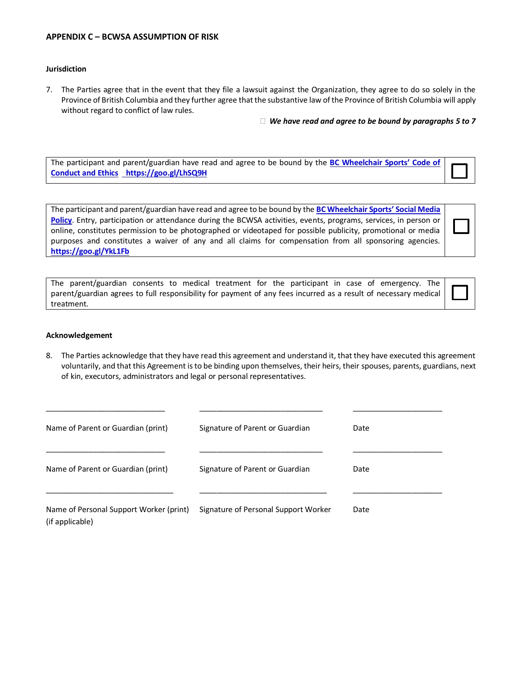#### **APPENDIX C – BCWSA ASSUMPTION OF RISK**

#### **Jurisdiction**

7. The Parties agree that in the event that they file a lawsuit against the Organization, they agree to do so solely in the Province of British Columbia and they further agree that the substantive law of the Province of British Columbia will apply without regard to conflict of law rules.

*We have read and agree to be bound by paragraphs 5 to 7*

The participant and parent/guardian have read and agree to be bound by the **[BC Wheelchair Sports' Code of](https://www.bcwheelchairsports.com/sites/default/files/images/BCWSA%20Policies%20and%20Procedures%20-%20Code%20of%20Conduct%20and%20Ethics.pdf)  [Conduct and Ethics](https://www.bcwheelchairsports.com/sites/default/files/images/BCWSA%20Policies%20and%20Procedures%20-%20Code%20of%20Conduct%20and%20Ethics.pdf) <https://goo.gl/LhSQ9H>**

The participant and parent/guardian have read and agree to be bound by the **[BC Wheelchair Sports' Social Media](https://www.bcwheelchairsports.com/sites/default/files/images/BCWSA%20Policies%20and%20Procedures%20-%20Social%20Media%20Policy.pdf)  [Policy](https://www.bcwheelchairsports.com/sites/default/files/images/BCWSA%20Policies%20and%20Procedures%20-%20Social%20Media%20Policy.pdf)**. Entry, participation or attendance during the BCWSA activities, events, programs, services, in person or online, constitutes permission to be photographed or videotaped for possible publicity, promotional or media purposes and constitutes a waiver of any and all claims for compensation from all sponsoring agencies. **<https://goo.gl/YkL1Fb>**

| The parent/guardian consents to medical treatment for the participant in case of emergency. The                 |  |  |  |  |  |  |
|-----------------------------------------------------------------------------------------------------------------|--|--|--|--|--|--|
| parent/guardian agrees to full responsibility for payment of any fees incurred as a result of necessary medical |  |  |  |  |  |  |
| treatment.                                                                                                      |  |  |  |  |  |  |

#### **Acknowledgement**

8. The Parties acknowledge that they have read this agreement and understand it, that they have executed this agreement voluntarily, and that this Agreement is to be binding upon themselves, their heirs, their spouses, parents, guardians, next of kin, executors, administrators and legal or personal representatives.

| Name of Parent or Guardian (print)                         | Signature of Parent or Guardian      | Date |
|------------------------------------------------------------|--------------------------------------|------|
| Name of Parent or Guardian (print)                         | Signature of Parent or Guardian      | Date |
| Name of Personal Support Worker (print)<br>(if applicable) | Signature of Personal Support Worker | Date |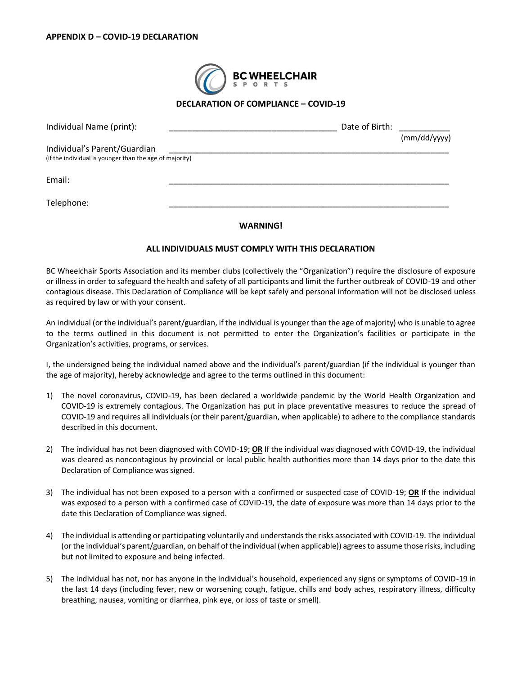

#### **DECLARATION OF COMPLIANCE – COVID-19**

| Individual Name (print):                                                                | Date of Birth: | (mm/dd/yyyy) |
|-----------------------------------------------------------------------------------------|----------------|--------------|
| Individual's Parent/Guardian<br>(if the individual is younger than the age of majority) |                |              |
| Email:                                                                                  |                |              |
| Telephone:                                                                              |                |              |

#### **WARNING!**

#### **ALL INDIVIDUALS MUST COMPLY WITH THIS DECLARATION**

BC Wheelchair Sports Association and its member clubs (collectively the "Organization") require the disclosure of exposure or illness in order to safeguard the health and safety of all participants and limit the further outbreak of COVID-19 and other contagious disease. This Declaration of Compliance will be kept safely and personal information will not be disclosed unless as required by law or with your consent.

An individual (or the individual's parent/guardian, if the individual is younger than the age of majority) who is unable to agree to the terms outlined in this document is not permitted to enter the Organization's facilities or participate in the Organization's activities, programs, or services.

I, the undersigned being the individual named above and the individual's parent/guardian (if the individual is younger than the age of majority), hereby acknowledge and agree to the terms outlined in this document:

- 1) The novel coronavirus, COVID-19, has been declared a worldwide pandemic by the World Health Organization and COVID-19 is extremely contagious. The Organization has put in place preventative measures to reduce the spread of COVID-19 and requires all individuals (or their parent/guardian, when applicable) to adhere to the compliance standards described in this document.
- 2) The individual has not been diagnosed with COVID-19; **OR** If the individual was diagnosed with COVID-19, the individual was cleared as noncontagious by provincial or local public health authorities more than 14 days prior to the date this Declaration of Compliance was signed.
- 3) The individual has not been exposed to a person with a confirmed or suspected case of COVID-19; **OR** If the individual was exposed to a person with a confirmed case of COVID-19, the date of exposure was more than 14 days prior to the date this Declaration of Compliance was signed.
- 4) The individual is attending or participating voluntarily and understands the risks associated with COVID-19. The individual (or the individual's parent/guardian, on behalf of the individual (when applicable)) agrees to assume those risks, including but not limited to exposure and being infected.
- 5) The individual has not, nor has anyone in the individual's household, experienced any signs or symptoms of COVID-19 in the last 14 days (including fever, new or worsening cough, fatigue, chills and body aches, respiratory illness, difficulty breathing, nausea, vomiting or diarrhea, pink eye, or loss of taste or smell).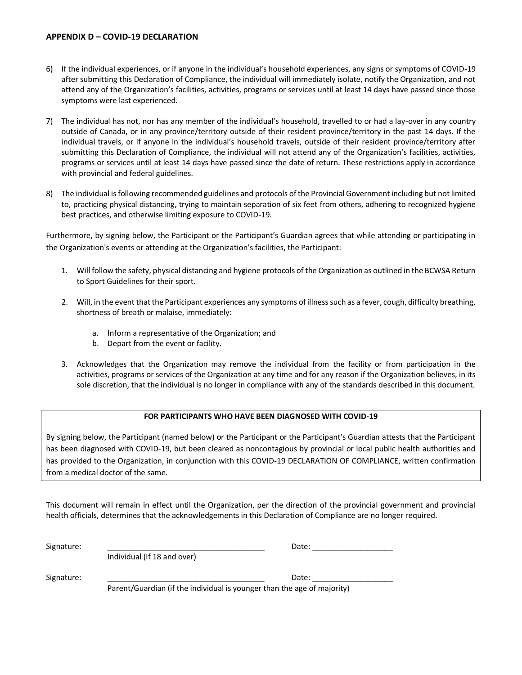#### **APPENDIX D – COVID-19 DECLARATION**

- 6) If the individual experiences, or if anyone in the individual's household experiences, any signs or symptoms of COVID-19 after submitting this Declaration of Compliance, the individual will immediately isolate, notify the Organization, and not attend any of the Organization's facilities, activities, programs or services until at least 14 days have passed since those symptoms were last experienced.
- 7) The individual has not, nor has any member of the individual's household, travelled to or had a lay-over in any country outside of Canada, or in any province/territory outside of their resident province/territory in the past 14 days. If the individual travels, or if anyone in the individual's household travels, outside of their resident province/territory after submitting this Declaration of Compliance, the individual will not attend any of the Organization's facilities, activities, programs or services until at least 14 days have passed since the date of return. These restrictions apply in accordance with provincial and federal guidelines.
- 8) The individual is following recommended guidelines and protocols of the Provincial Government including but not limited to, practicing physical distancing, trying to maintain separation of six feet from others, adhering to recognized hygiene best practices, and otherwise limiting exposure to COVID-19.

Furthermore, by signing below, the Participant or the Participant's Guardian agrees that while attending or participating in the Organization's events or attending at the Organization's facilities, the Participant:

- 1. Will follow the safety, physical distancing and hygiene protocols of the Organization as outlined in the BCWSA Return to Sport Guidelines for their sport.
- 2. Will, in the event that the Participant experiences any symptoms of illness such as a fever, cough, difficulty breathing, shortness of breath or malaise, immediately:
	- a. Inform a representative of the Organization; and
	- b. Depart from the event or facility.
- 3. Acknowledges that the Organization may remove the individual from the facility or from participation in the activities, programs or services of the Organization at any time and for any reason if the Organization believes, in its sole discretion, that the individual is no longer in compliance with any of the standards described in this document.

#### **FOR PARTICIPANTS WHO HAVE BEEN DIAGNOSED WITH COVID-19**

By signing below, the Participant (named below) or the Participant or the Participant's Guardian attests that the Participant has been diagnosed with COVID-19, but been cleared as noncontagious by provincial or local public health authorities and has provided to the Organization, in conjunction with this COVID-19 DECLARATION OF COMPLIANCE, written confirmation from a medical doctor of the same.

This document will remain in effect until the Organization, per the direction of the provincial government and provincial health officials, determines that the acknowledgements in this Declaration of Compliance are no longer required.

| Signature: |                                                                         | Date: |  |  |
|------------|-------------------------------------------------------------------------|-------|--|--|
|            | Individual (If 18 and over)                                             |       |  |  |
| Signature: |                                                                         | Date: |  |  |
|            | Parent/Guardian (if the individual is younger than the age of majority) |       |  |  |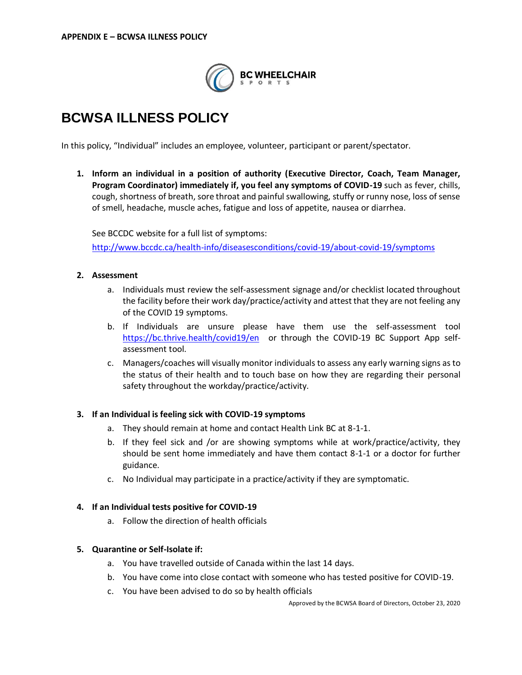

# **BCWSA ILLNESS POLICY**

In this policy, "Individual" includes an employee, volunteer, participant or parent/spectator.

**1. Inform an individual in a position of authority (Executive Director, Coach, Team Manager, Program Coordinator) immediately if, you feel any symptoms of COVID-19** such as fever, chills, cough, shortness of breath, sore throat and painful swallowing, stuffy or runny nose, loss of sense of smell, headache, muscle aches, fatigue and loss of appetite, nausea or diarrhea.

See BCCDC website for a full list of symptoms:

<http://www.bccdc.ca/health-info/diseasesconditions/covid-19/about-covid-19/symptoms>

#### **2. Assessment**

- a. Individuals must review the self-assessment signage and/or checklist located throughout the facility before their work day/practice/activity and attest that they are not feeling any of the COVID 19 symptoms.
- b. If Individuals are unsure please have them use the self-assessment tool <https://bc.thrive.health/covid19/en> or through the COVID-19 BC Support App selfassessment tool.
- c. Managers/coaches will visually monitor individuals to assess any early warning signs as to the status of their health and to touch base on how they are regarding their personal safety throughout the workday/practice/activity.

#### **3. If an Individual is feeling sick with COVID-19 symptoms**

- a. They should remain at home and contact Health Link BC at 8-1-1.
- b. If they feel sick and /or are showing symptoms while at work/practice/activity, they should be sent home immediately and have them contact 8-1-1 or a doctor for further guidance.
- c. No Individual may participate in a practice/activity if they are symptomatic.

#### **4. If an Individual tests positive for COVID-19**

a. Follow the direction of health officials

#### **5. Quarantine or Self-Isolate if:**

- a. You have travelled outside of Canada within the last 14 days.
- b. You have come into close contact with someone who has tested positive for COVID-19.
- c. You have been advised to do so by health officials

Approved by the BCWSA Board of Directors, October 23, 2020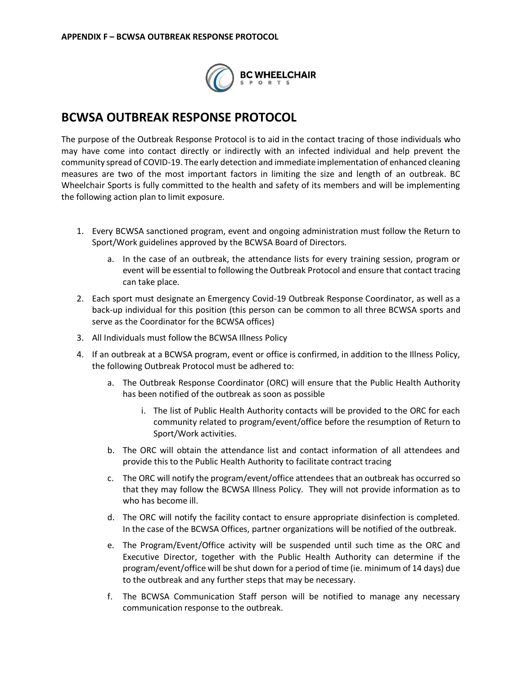

## **BCWSA OUTBREAK RESPONSE PROTOCOL**

The purpose of the Outbreak Response Protocol is to aid in the contact tracing of those individuals who may have come into contact directly or indirectly with an infected individual and help prevent the community spread of COVID-19. The early detection and immediate implementation of enhanced cleaning measures are two of the most important factors in limiting the size and length of an outbreak. BC Wheelchair Sports is fully committed to the health and safety of its members and will be implementing the following action plan to limit exposure.

- 1. Every BCWSA sanctioned program, event and ongoing administration must follow the Return to Sport/Work guidelines approved by the BCWSA Board of Directors.
	- a. In the case of an outbreak, the attendance lists for every training session, program or event will be essential to following the Outbreak Protocol and ensure that contact tracing can take place.
- 2. Each sport must designate an Emergency Covid-19 Outbreak Response Coordinator, as well as a back-up individual for this position (this person can be common to all three BCWSA sports and serve as the Coordinator for the BCWSA offices)
- 3. All Individuals must follow the BCWSA Illness Policy
- 4. If an outbreak at a BCWSA program, event or office is confirmed, in addition to the Illness Policy, the following Outbreak Protocol must be adhered to:
	- a. The Outbreak Response Coordinator (ORC) will ensure that the Public Health Authority has been notified of the outbreak as soon as possible
		- i. The list of Public Health Authority contacts will be provided to the ORC for each community related to program/event/office before the resumption of Return to Sport/Work activities.
	- b. The ORC will obtain the attendance list and contact information of all attendees and provide this to the Public Health Authority to facilitate contract tracing
	- c. The ORC will notify the program/event/office attendees that an outbreak has occurred so that they may follow the BCWSA Illness Policy. They will not provide information as to who has become ill.
	- d. The ORC will notify the facility contact to ensure appropriate disinfection is completed. In the case of the BCWSA Offices, partner organizations will be notified of the outbreak.
	- e. The Program/Event/Office activity will be suspended until such time as the ORC and Executive Director, together with the Public Health Authority can determine if the program/event/office will be shut down for a period of time (ie. minimum of 14 days) due to the outbreak and any further steps that may be necessary.
	- f. The BCWSA Communication Staff person will be notified to manage any necessary communication response to the outbreak.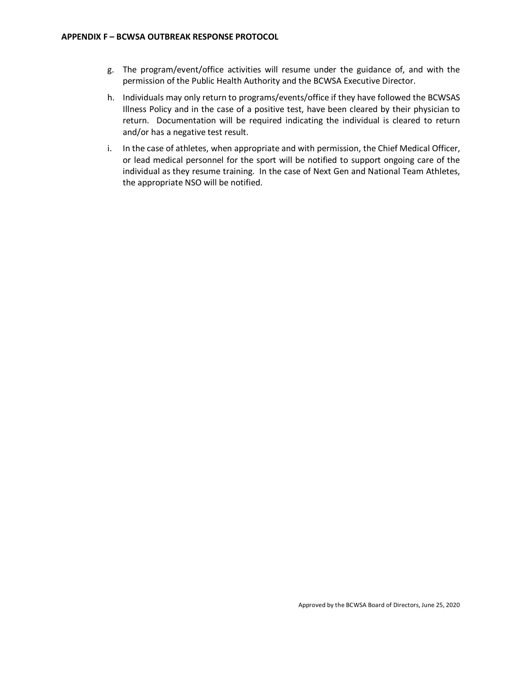- g. The program/event/office activities will resume under the guidance of, and with the permission of the Public Health Authority and the BCWSA Executive Director.
- h. Individuals may only return to programs/events/office if they have followed the BCWSAS Illness Policy and in the case of a positive test, have been cleared by their physician to return. Documentation will be required indicating the individual is cleared to return and/or has a negative test result.
- i. In the case of athletes, when appropriate and with permission, the Chief Medical Officer, or lead medical personnel for the sport will be notified to support ongoing care of the individual as they resume training. In the case of Next Gen and National Team Athletes, the appropriate NSO will be notified.